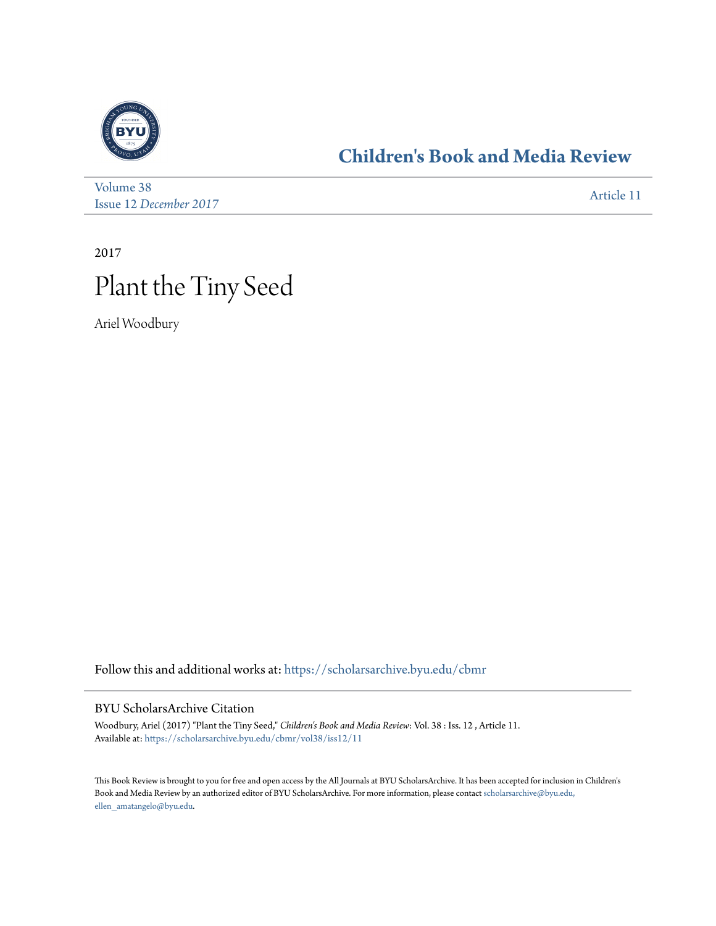

## **[Children's Book and Media Review](https://scholarsarchive.byu.edu/cbmr?utm_source=scholarsarchive.byu.edu%2Fcbmr%2Fvol38%2Fiss12%2F11&utm_medium=PDF&utm_campaign=PDFCoverPages)**

[Volume 38](https://scholarsarchive.byu.edu/cbmr/vol38?utm_source=scholarsarchive.byu.edu%2Fcbmr%2Fvol38%2Fiss12%2F11&utm_medium=PDF&utm_campaign=PDFCoverPages) Issue 12 *[December 2017](https://scholarsarchive.byu.edu/cbmr/vol38/iss12?utm_source=scholarsarchive.byu.edu%2Fcbmr%2Fvol38%2Fiss12%2F11&utm_medium=PDF&utm_campaign=PDFCoverPages)* [Article 11](https://scholarsarchive.byu.edu/cbmr/vol38/iss12/11?utm_source=scholarsarchive.byu.edu%2Fcbmr%2Fvol38%2Fiss12%2F11&utm_medium=PDF&utm_campaign=PDFCoverPages)

2017 Plant the Tiny Seed

Ariel Woodbury

Follow this and additional works at: [https://scholarsarchive.byu.edu/cbmr](https://scholarsarchive.byu.edu/cbmr?utm_source=scholarsarchive.byu.edu%2Fcbmr%2Fvol38%2Fiss12%2F11&utm_medium=PDF&utm_campaign=PDFCoverPages)

## BYU ScholarsArchive Citation

Woodbury, Ariel (2017) "Plant the Tiny Seed," *Children's Book and Media Review*: Vol. 38 : Iss. 12 , Article 11. Available at: [https://scholarsarchive.byu.edu/cbmr/vol38/iss12/11](https://scholarsarchive.byu.edu/cbmr/vol38/iss12/11?utm_source=scholarsarchive.byu.edu%2Fcbmr%2Fvol38%2Fiss12%2F11&utm_medium=PDF&utm_campaign=PDFCoverPages)

This Book Review is brought to you for free and open access by the All Journals at BYU ScholarsArchive. It has been accepted for inclusion in Children's Book and Media Review by an authorized editor of BYU ScholarsArchive. For more information, please contact [scholarsarchive@byu.edu,](mailto:scholarsarchive@byu.edu,%20ellen_amatangelo@byu.edu) [ellen\\_amatangelo@byu.edu.](mailto:scholarsarchive@byu.edu,%20ellen_amatangelo@byu.edu)